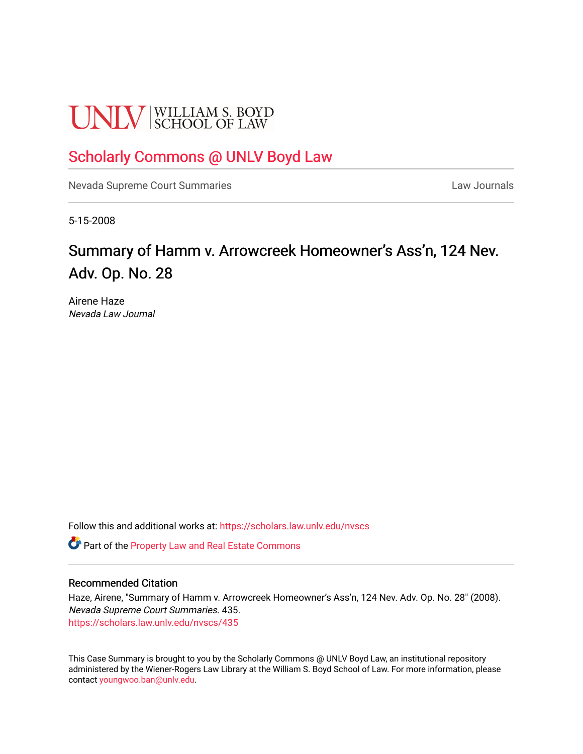# **UNLV** SCHOOL OF LAW

# [Scholarly Commons @ UNLV Boyd Law](https://scholars.law.unlv.edu/)

[Nevada Supreme Court Summaries](https://scholars.law.unlv.edu/nvscs) **Law Journals** Law Journals

5-15-2008

# Summary of Hamm v. Arrowcreek Homeowner's Ass'n, 124 Nev. Adv. Op. No. 28

Airene Haze Nevada Law Journal

Follow this and additional works at: [https://scholars.law.unlv.edu/nvscs](https://scholars.law.unlv.edu/nvscs?utm_source=scholars.law.unlv.edu%2Fnvscs%2F435&utm_medium=PDF&utm_campaign=PDFCoverPages)

Part of the [Property Law and Real Estate Commons](http://network.bepress.com/hgg/discipline/897?utm_source=scholars.law.unlv.edu%2Fnvscs%2F435&utm_medium=PDF&utm_campaign=PDFCoverPages) 

### Recommended Citation

Haze, Airene, "Summary of Hamm v. Arrowcreek Homeowner's Ass'n, 124 Nev. Adv. Op. No. 28" (2008). Nevada Supreme Court Summaries. 435. [https://scholars.law.unlv.edu/nvscs/435](https://scholars.law.unlv.edu/nvscs/435?utm_source=scholars.law.unlv.edu%2Fnvscs%2F435&utm_medium=PDF&utm_campaign=PDFCoverPages)

This Case Summary is brought to you by the Scholarly Commons @ UNLV Boyd Law, an institutional repository administered by the Wiener-Rogers Law Library at the William S. Boyd School of Law. For more information, please contact [youngwoo.ban@unlv.edu](mailto:youngwoo.ban@unlv.edu).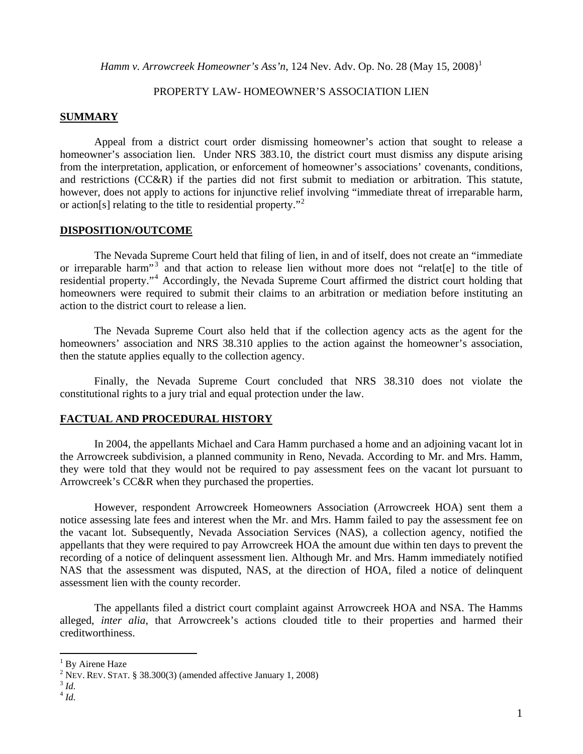*Hamm v. Arrowcreek Homeowner's Ass'n,* [1](#page-1-0)24 Nev. Adv. Op. No. 28 (May 15, 2008)<sup>1</sup>

# PROPERTY LAW- HOMEOWNER'S ASSOCIATION LIEN

## **SUMMARY**

 Appeal from a district court order dismissing homeowner's action that sought to release a homeowner's association lien. Under NRS 383.10, the district court must dismiss any dispute arising from the interpretation, application, or enforcement of homeowner's associations' covenants, conditions, and restrictions (CC&R) if the parties did not first submit to mediation or arbitration. This statute, however, does not apply to actions for injunctive relief involving "immediate threat of irreparable harm, or action[s] relating to the title to residential property."[2](#page-1-1)

#### **DISPOSITION/OUTCOME**

 The Nevada Supreme Court held that filing of lien, in and of itself, does not create an "immediate or irreparable harm"<sup>[3](#page-1-2)</sup> and that action to release lien without more does not "relat[e] to the title of residential property."<sup>[4](#page-1-3)</sup> Accordingly, the Nevada Supreme Court affirmed the district court holding that homeowners were required to submit their claims to an arbitration or mediation before instituting an action to the district court to release a lien.

 The Nevada Supreme Court also held that if the collection agency acts as the agent for the homeowners' association and NRS 38.310 applies to the action against the homeowner's association, then the statute applies equally to the collection agency.

 Finally, the Nevada Supreme Court concluded that NRS 38.310 does not violate the constitutional rights to a jury trial and equal protection under the law.

# **FACTUAL AND PROCEDURAL HISTORY**

In 2004, the appellants Michael and Cara Hamm purchased a home and an adjoining vacant lot in the Arrowcreek subdivision, a planned community in Reno, Nevada. According to Mr. and Mrs. Hamm, they were told that they would not be required to pay assessment fees on the vacant lot pursuant to Arrowcreek's CC&R when they purchased the properties.

 However, respondent Arrowcreek Homeowners Association (Arrowcreek HOA) sent them a notice assessing late fees and interest when the Mr. and Mrs. Hamm failed to pay the assessment fee on the vacant lot. Subsequently, Nevada Association Services (NAS), a collection agency, notified the appellants that they were required to pay Arrowcreek HOA the amount due within ten days to prevent the recording of a notice of delinquent assessment lien. Although Mr. and Mrs. Hamm immediately notified NAS that the assessment was disputed, NAS, at the direction of HOA, filed a notice of delinquent assessment lien with the county recorder.

 The appellants filed a district court complaint against Arrowcreek HOA and NSA. The Hamms alleged, *inter alia*, that Arrowcreek's actions clouded title to their properties and harmed their creditworthiness.

<sup>&</sup>lt;sup>1</sup> By Airene Haze

<span id="page-1-1"></span><span id="page-1-0"></span><sup>2</sup> NEV. REV. STAT. § 38.300(3) (amended affective January 1, 2008) 3 *Id.* 

<span id="page-1-3"></span><span id="page-1-2"></span> $^{4}$  *Id.*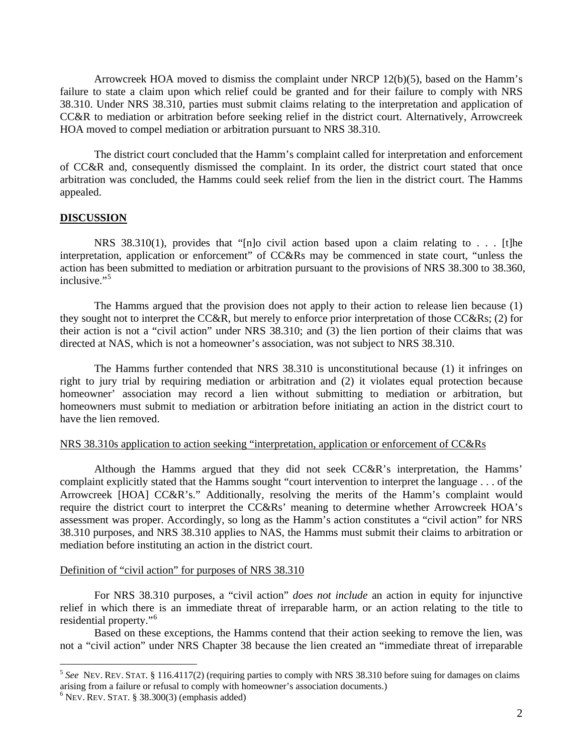Arrowcreek HOA moved to dismiss the complaint under NRCP 12(b)(5), based on the Hamm's failure to state a claim upon which relief could be granted and for their failure to comply with NRS 38.310. Under NRS 38.310, parties must submit claims relating to the interpretation and application of CC&R to mediation or arbitration before seeking relief in the district court. Alternatively, Arrowcreek HOA moved to compel mediation or arbitration pursuant to NRS 38.310.

 The district court concluded that the Hamm's complaint called for interpretation and enforcement of CC&R and, consequently dismissed the complaint. In its order, the district court stated that once arbitration was concluded, the Hamms could seek relief from the lien in the district court. The Hamms appealed.

#### **DISCUSSION**

NRS  $38.310(1)$ , provides that "[n]o civil action based upon a claim relating to . . . [t]he interpretation, application or enforcement" of CC&Rs may be commenced in state court, "unless the action has been submitted to mediation or arbitration pursuant to the provisions of NRS 38.300 to 38.360, inclusive."<sup>[5](#page-2-0)</sup>

 The Hamms argued that the provision does not apply to their action to release lien because (1) they sought not to interpret the CC&R, but merely to enforce prior interpretation of those CC&Rs; (2) for their action is not a "civil action" under NRS 38.310; and (3) the lien portion of their claims that was directed at NAS, which is not a homeowner's association, was not subject to NRS 38.310.

 The Hamms further contended that NRS 38.310 is unconstitutional because (1) it infringes on right to jury trial by requiring mediation or arbitration and (2) it violates equal protection because homeowner' association may record a lien without submitting to mediation or arbitration, but homeowners must submit to mediation or arbitration before initiating an action in the district court to have the lien removed.

#### NRS 38.310s application to action seeking "interpretation, application or enforcement of CC&Rs

 Although the Hamms argued that they did not seek CC&R's interpretation, the Hamms' complaint explicitly stated that the Hamms sought "court intervention to interpret the language . . . of the Arrowcreek [HOA] CC&R's." Additionally, resolving the merits of the Hamm's complaint would require the district court to interpret the CC&Rs' meaning to determine whether Arrowcreek HOA's assessment was proper. Accordingly, so long as the Hamm's action constitutes a "civil action" for NRS 38.310 purposes, and NRS 38.310 applies to NAS, the Hamms must submit their claims to arbitration or mediation before instituting an action in the district court.

#### Definition of "civil action" for purposes of NRS 38.310

 For NRS 38.310 purposes, a "civil action" *does not include* an action in equity for injunctive relief in which there is an immediate threat of irreparable harm, or an action relating to the title to residential property."[6](#page-2-1)

 Based on these exceptions, the Hamms contend that their action seeking to remove the lien, was not a "civil action" under NRS Chapter 38 because the lien created an "immediate threat of irreparable

<span id="page-2-0"></span><sup>5</sup> *See* NEV. REV. STAT. § 116.4117(2) (requiring parties to comply with NRS 38.310 before suing for damages on claims arising from a failure or refusal to comply with homeowner's association documents.) 6

<span id="page-2-1"></span> $6$  Nev. Rev. STAT. § 38.300(3) (emphasis added)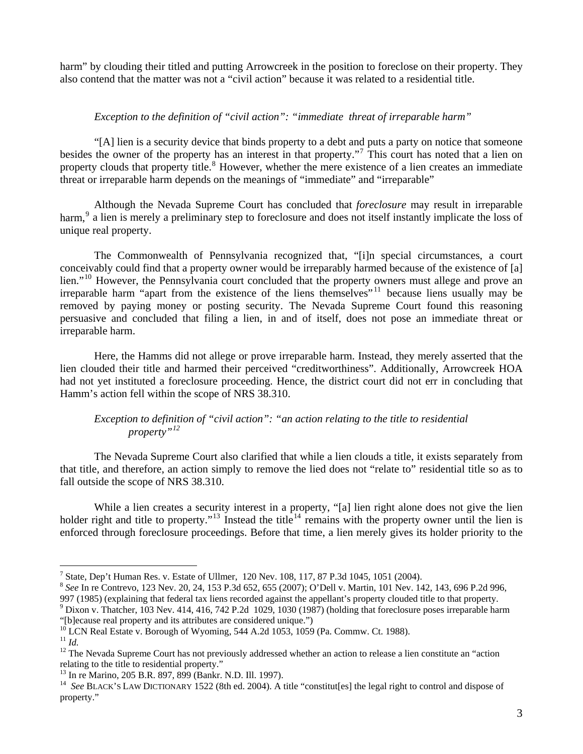harm" by clouding their titled and putting Arrowcreek in the position to foreclose on their property. They also contend that the matter was not a "civil action" because it was related to a residential title.

# *Exception to the definition of "civil action": "immediate threat of irreparable harm"*

 "[A] lien is a security device that binds property to a debt and puts a party on notice that someone besides the owner of the property has an interest in that property."<sup>[7](#page-3-0)</sup> This court has noted that a lien on property clouds that property title.<sup>[8](#page-3-1)</sup> However, whether the mere existence of a lien creates an immediate threat or irreparable harm depends on the meanings of "immediate" and "irreparable"

 Although the Nevada Supreme Court has concluded that *foreclosure* may result in irreparable harm,<sup>[9](#page-3-2)</sup> a lien is merely a preliminary step to foreclosure and does not itself instantly implicate the loss of unique real property.

 The Commonwealth of Pennsylvania recognized that, "[i]n special circumstances, a court conceivably could find that a property owner would be irreparably harmed because of the existence of [a] lien."<sup>[10](#page-3-3)</sup> However, the Pennsylvania court concluded that the property owners must allege and prove an irreparable harm "apart from the existence of the liens themselves" [11](#page-3-4) because liens usually may be removed by paying money or posting security. The Nevada Supreme Court found this reasoning persuasive and concluded that filing a lien, in and of itself, does not pose an immediate threat or irreparable harm.

 Here, the Hamms did not allege or prove irreparable harm. Instead, they merely asserted that the lien clouded their title and harmed their perceived "creditworthiness". Additionally, Arrowcreek HOA had not yet instituted a foreclosure proceeding. Hence, the district court did not err in concluding that Hamm's action fell within the scope of NRS 38.310.

# *Exception to definition of "civil action": "an action relating to the title to residential property"[12](#page-3-5)*

 The Nevada Supreme Court also clarified that while a lien clouds a title, it exists separately from that title, and therefore, an action simply to remove the lied does not "relate to" residential title so as to fall outside the scope of NRS 38.310.

 While a lien creates a security interest in a property, "[a] lien right alone does not give the lien holder right and title to property."<sup>[13](#page-3-6)</sup> Instead the title<sup>[14](#page-3-7)</sup> remains with the property owner until the lien is enforced through foreclosure proceedings. Before that time, a lien merely gives its holder priority to the

<span id="page-3-0"></span><sup>&</sup>lt;sup>7</sup> State, Dep't Human Res. v. Estate of Ullmer, 120 Nev. 108, 117, 87 P.3d 1045, 1051 (2004).

<span id="page-3-1"></span><sup>8</sup> *See* In re Contrevo, 123 Nev. 20, 24, 153 P.3d 652, 655 (2007); O'Dell v. Martin, 101 Nev. 142, 143, 696 P.2d 996, 997 (1985) (explaining that federal tax liens recorded against the appellant's property clouded title to that property. 9

<span id="page-3-2"></span> $9$  Dixon v. Thatcher, 103 Nev. 414, 416, 742 P.2d 1029, 1030 (1987) (holding that foreclosure poses irreparable harm "[b]ecause real property and its attributes are considered unique.")<br><sup>10</sup> LCN Real Estate v. Borough of Wyoming, 544 A.2d 1053, 1059 (Pa. Commw. Ct. 1988).<br><sup>11</sup> *Id.* 

<span id="page-3-3"></span>

<span id="page-3-5"></span><span id="page-3-4"></span><sup>&</sup>lt;sup>12</sup> The Nevada Supreme Court has not previously addressed whether an action to release a lien constitute an "action relating to the title to residential property."

<span id="page-3-6"></span><sup>&</sup>lt;sup>13</sup> In re Marino, 205 B.R. 897, 899 (Bankr. N.D. Ill. 1997).

<span id="page-3-7"></span><sup>&</sup>lt;sup>14</sup> See BLACK'S LAW DICTIONARY 1522 (8th ed. 2004). A title "constitut[es] the legal right to control and dispose of property."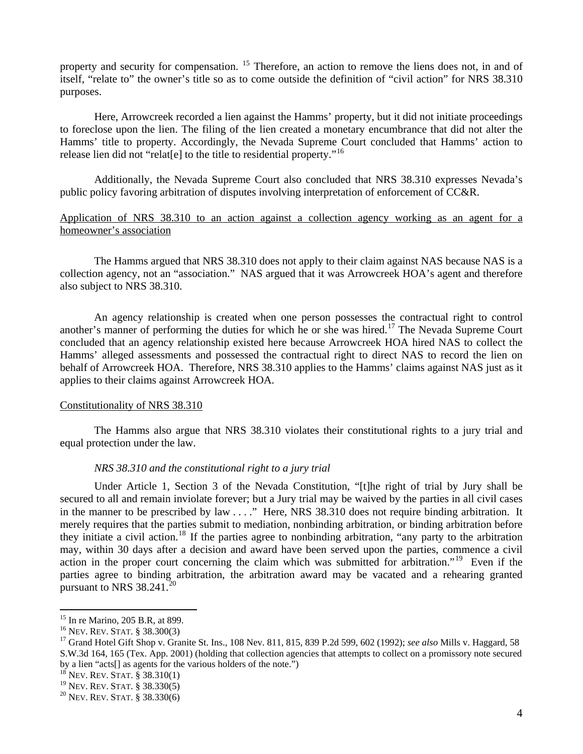property and security for compensation. <sup>[15](#page-4-0)</sup> Therefore, an action to remove the liens does not, in and of itself, "relate to" the owner's title so as to come outside the definition of "civil action" for NRS 38.310 purposes.

 Here, Arrowcreek recorded a lien against the Hamms' property, but it did not initiate proceedings to foreclose upon the lien. The filing of the lien created a monetary encumbrance that did not alter the Hamms' title to property. Accordingly, the Nevada Supreme Court concluded that Hamms' action to release lien did not "relat[e] to the title to residential property."<sup>[16](#page-4-1)</sup>

 Additionally, the Nevada Supreme Court also concluded that NRS 38.310 expresses Nevada's public policy favoring arbitration of disputes involving interpretation of enforcement of CC&R.

Application of NRS 38.310 to an action against a collection agency working as an agent for a homeowner's association

The Hamms argued that NRS 38.310 does not apply to their claim against NAS because NAS is a collection agency, not an "association." NAS argued that it was Arrowcreek HOA's agent and therefore also subject to NRS 38.310.

An agency relationship is created when one person possesses the contractual right to control another's manner of performing the duties for which he or she was hired.<sup>[17](#page-4-2)</sup> The Nevada Supreme Court concluded that an agency relationship existed here because Arrowcreek HOA hired NAS to collect the Hamms' alleged assessments and possessed the contractual right to direct NAS to record the lien on behalf of Arrowcreek HOA. Therefore, NRS 38.310 applies to the Hamms' claims against NAS just as it applies to their claims against Arrowcreek HOA.

# Constitutionality of NRS 38.310

 The Hamms also argue that NRS 38.310 violates their constitutional rights to a jury trial and equal protection under the law.

#### *NRS 38.310 and the constitutional right to a jury trial*

Under Article 1, Section 3 of the Nevada Constitution, "[t]he right of trial by Jury shall be secured to all and remain inviolate forever; but a Jury trial may be waived by the parties in all civil cases in the manner to be prescribed by law . . . ." Here, NRS 38.310 does not require binding arbitration. It merely requires that the parties submit to mediation, nonbinding arbitration, or binding arbitration before they initiate a civil action.<sup>[18](#page-4-3)</sup> If the parties agree to nonbinding arbitration, "any party to the arbitration may, within 30 days after a decision and award have been served upon the parties, commence a civil action in the proper court concerning the claim which was submitted for arbitration."<sup>[19](#page-4-4)</sup> Even if the parties agree to binding arbitration, the arbitration award may be vacated and a rehearing granted pursuant to NRS  $38.241$ <sup>[20](#page-4-5)</sup>

<span id="page-4-0"></span><sup>&</sup>lt;sup>15</sup> In re Marino, 205 B.R, at 899.<br><sup>16</sup> Nev. Rev. STAT. § 38.300(3)

<span id="page-4-2"></span><span id="page-4-1"></span><sup>&</sup>lt;sup>17</sup> Grand Hotel Gift Shop v. Granite St. Ins., 108 Nev. 811, 815, 839 P.2d 599, 602 (1992); see also Mills v. Haggard, 58 S.W.3d 164, 165 (Tex. App. 2001) (holding that collection agencies that attempts to collect on a promissory note secured by a lien "acts[] as agents for the various holders of the note.") <sup>18</sup> NEV. REV. STAT. § 38.310(1)

<span id="page-4-5"></span><span id="page-4-4"></span><span id="page-4-3"></span><sup>&</sup>lt;sup>19</sup> Nev. Rev. Stat. § 38.330(5)<br><sup>20</sup> Nev. Rev. Stat. § 38.330(6)